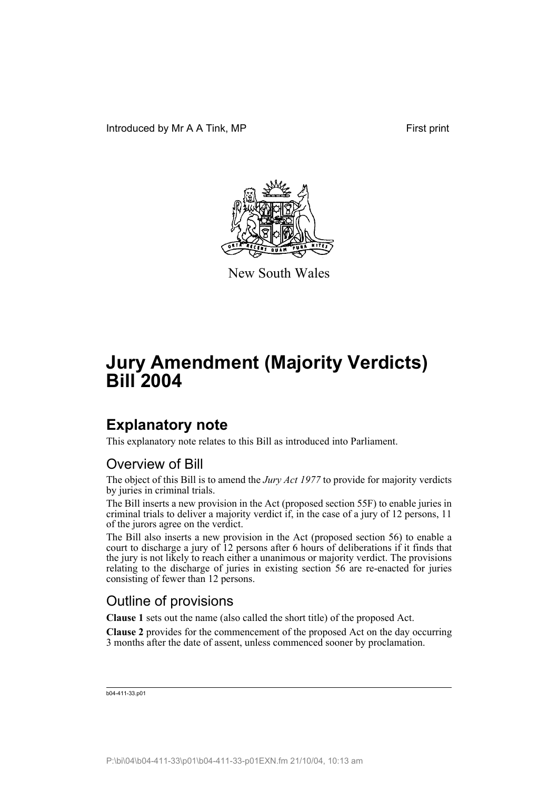

New South Wales

## **Explanatory note**

This explanatory note relates to this Bill as introduced into Parliament.

### Overview of Bill

The object of this Bill is to amend the *Jury Act 1977* to provide for majority verdicts by juries in criminal trials.

The Bill inserts a new provision in the Act (proposed section 55F) to enable juries in criminal trials to deliver a majority verdict if, in the case of a jury of 12 persons, 11 of the jurors agree on the verdict.

The Bill also inserts a new provision in the Act (proposed section 56) to enable a court to discharge a jury of 12 persons after 6 hours of deliberations if it finds that the jury is not likely to reach either a unanimous or majority verdict. The provisions relating to the discharge of juries in existing section 56 are re-enacted for juries consisting of fewer than 12 persons.

#### Outline of provisions

**Clause 1** sets out the name (also called the short title) of the proposed Act.

**Clause 2** provides for the commencement of the proposed Act on the day occurring 3 months after the date of assent, unless commenced sooner by proclamation.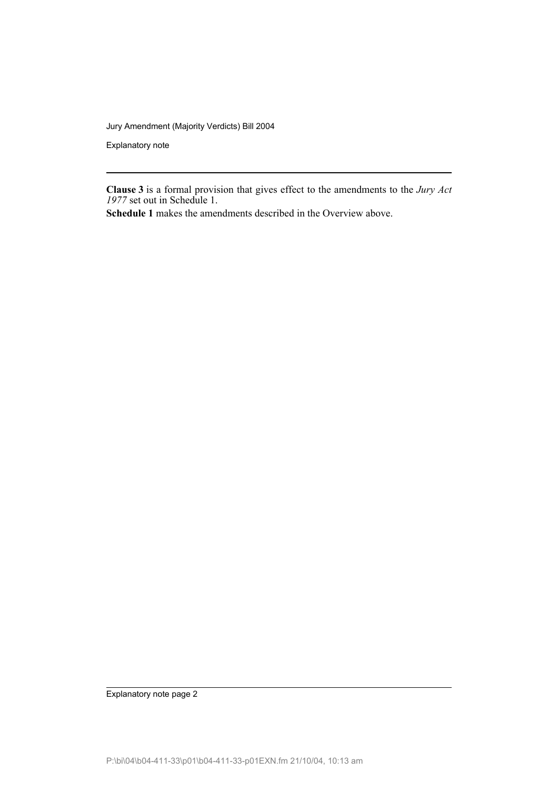Explanatory note

**Clause 3** is a formal provision that gives effect to the amendments to the *Jury Act 1977* set out in Schedule 1.

**Schedule 1** makes the amendments described in the Overview above.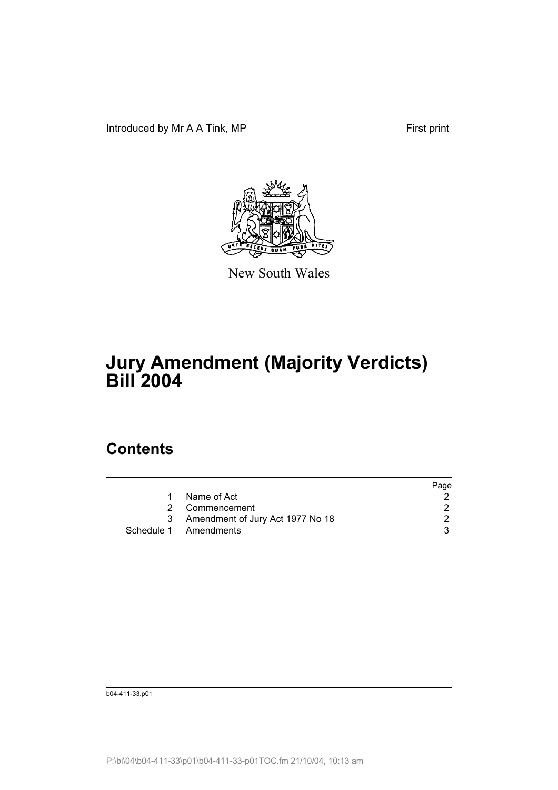Introduced by Mr A A Tink, MP First print



New South Wales

# **Jury Amendment (Majority Verdicts) Bill 2004**

## **Contents**

|     |                                  | Page |
|-----|----------------------------------|------|
|     | Name of Act                      |      |
|     | 2 Commencement                   |      |
| -3- | Amendment of Jury Act 1977 No 18 |      |
|     | Schedule 1 Amendments            |      |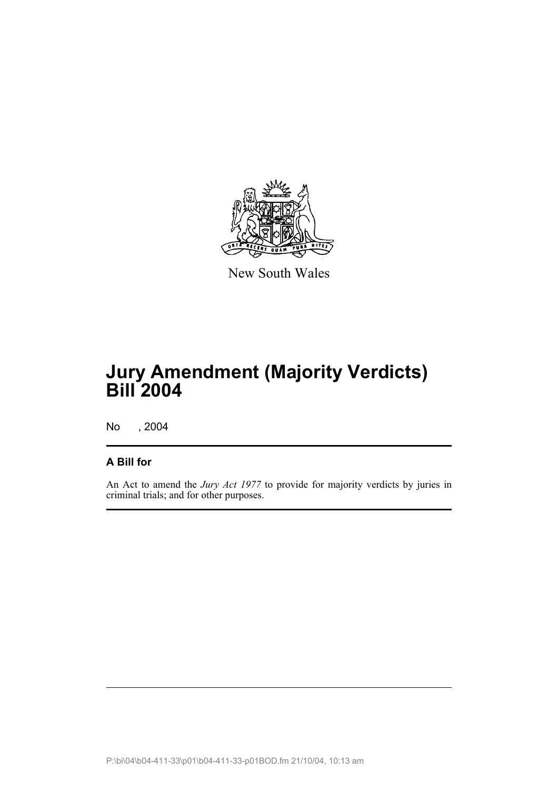

New South Wales

## **Jury Amendment (Majority Verdicts) Bill 2004**

No , 2004

#### **A Bill for**

An Act to amend the *Jury Act 1977* to provide for majority verdicts by juries in criminal trials; and for other purposes.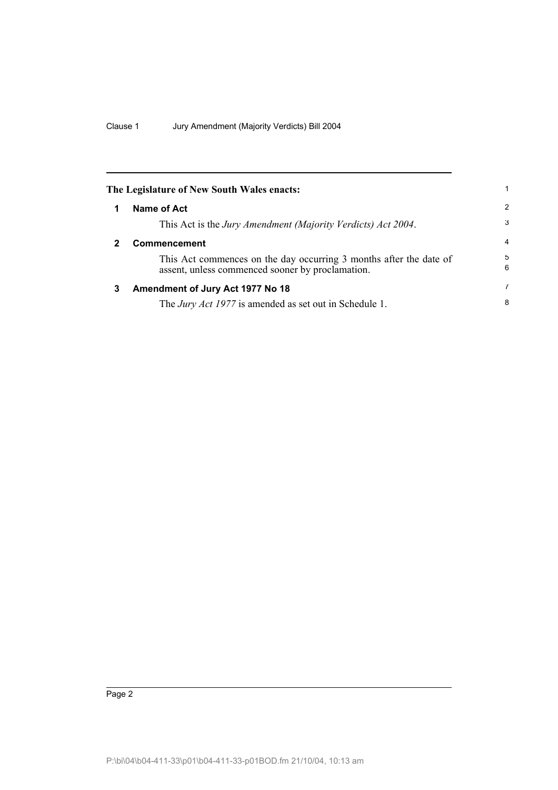|   | The Legislature of New South Wales enacts:                                                                             | 1              |
|---|------------------------------------------------------------------------------------------------------------------------|----------------|
| 1 | Name of Act                                                                                                            | 2              |
|   | This Act is the Jury Amendment (Majority Verdicts) Act 2004.                                                           | 3              |
| 2 | <b>Commencement</b>                                                                                                    | $\overline{4}$ |
|   | This Act commences on the day occurring 3 months after the date of<br>assent, unless commenced sooner by proclamation. | 5<br>6         |
| 3 | Amendment of Jury Act 1977 No 18                                                                                       | 7              |
|   | The <i>Jury Act 1977</i> is amended as set out in Schedule 1.                                                          | 8              |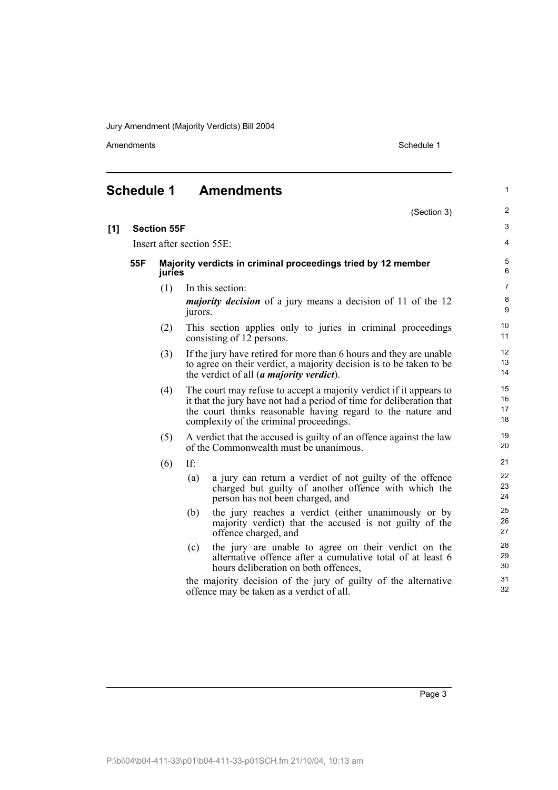Amendments Schedule 1

|     | <b>Schedule 1</b>                             |                    |                                                                    | <b>Amendments</b>                                                                                                                                                                                                                                    | $\mathbf{1}$          |
|-----|-----------------------------------------------|--------------------|--------------------------------------------------------------------|------------------------------------------------------------------------------------------------------------------------------------------------------------------------------------------------------------------------------------------------------|-----------------------|
|     |                                               |                    |                                                                    | (Section 3)                                                                                                                                                                                                                                          | 2                     |
| [1] |                                               | <b>Section 55F</b> |                                                                    |                                                                                                                                                                                                                                                      | 3                     |
|     |                                               |                    |                                                                    | Insert after section 55E:                                                                                                                                                                                                                            | 4                     |
|     | 55F                                           | juries             |                                                                    | Majority verdicts in criminal proceedings tried by 12 member                                                                                                                                                                                         | 5<br>6                |
|     |                                               | (1)                |                                                                    | In this section:                                                                                                                                                                                                                                     | $\overline{7}$        |
|     |                                               |                    | jurors.                                                            | <i>majority decision</i> of a jury means a decision of 11 of the 12                                                                                                                                                                                  | $\bf8$<br>9           |
|     |                                               | (2)                |                                                                    | This section applies only to juries in criminal proceedings<br>consisting of 12 persons.                                                                                                                                                             | 10 <sup>1</sup><br>11 |
|     |                                               | (3)                |                                                                    | If the jury have retired for more than 6 hours and they are unable<br>to agree on their verdict, a majority decision is to be taken to be<br>the verdict of all ( <i>a majority verdict</i> ).                                                       | 12<br>13<br>14        |
|     |                                               | (4)                |                                                                    | The court may refuse to accept a majority verdict if it appears to<br>it that the jury have not had a period of time for deliberation that<br>the court thinks reasonable having regard to the nature and<br>complexity of the criminal proceedings. | 15<br>16<br>17<br>18  |
|     | (5)<br>of the Commonwealth must be unanimous. |                    | A verdict that the accused is guilty of an offence against the law | 19<br>20                                                                                                                                                                                                                                             |                       |
|     |                                               | (6)                | If:                                                                |                                                                                                                                                                                                                                                      | 21                    |
|     |                                               |                    | (a)                                                                | a jury can return a verdict of not guilty of the offence<br>charged but guilty of another offence with which the<br>person has not been charged, and                                                                                                 | 22<br>23<br>24        |
|     |                                               |                    | (b)                                                                | the jury reaches a verdict (either unanimously or by<br>majority verdict) that the accused is not guilty of the<br>offence charged, and                                                                                                              | 25<br>26<br>27        |
|     |                                               |                    | (c)                                                                | the jury are unable to agree on their verdict on the<br>alternative offence after a cumulative total of at least 6<br>hours deliberation on both offences,                                                                                           | 28<br>29<br>30        |
|     |                                               |                    |                                                                    | the majority decision of the jury of guilty of the alternative<br>offence may be taken as a verdict of all.                                                                                                                                          | 31<br>32              |